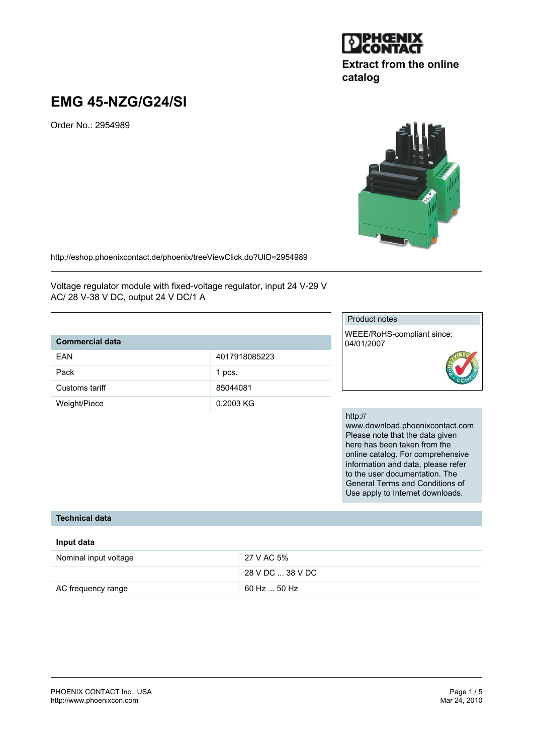# **EMG 45-NZG/G24/SI**

Order No.: 2954989



http://eshop.phoenixcontact.de/phoenix/treeViewClick.do?UID=2954989

Voltage regulator module with fixed-voltage regulator, input 24 V-29 V AC/ 28 V-38 V DC, output 24 V DC/1 A

# **Commercial data**

| FAN            | 4017918085223 |
|----------------|---------------|
| Pack           | 1 pcs.        |
| Customs tariff | 85044081      |
| Weight/Piece   | 0.2003 KG     |

#### Product notes

WEEE/RoHS-compliant since: 04/01/2007



#### http://

www.download.phoenixcontact.com Please note that the data given here has been taken from the online catalog. For comprehensive information and data, please refer to the user documentation. The General Terms and Conditions of Use apply to Internet downloads.

#### **Technical data**

#### **Input data**

| Nominal input voltage | 27 V AC 5%       |
|-----------------------|------------------|
|                       | 28 V DC  38 V DC |
| AC frequency range    | 60 Hz  50 Hz     |



**catalog**

**Extract from the online**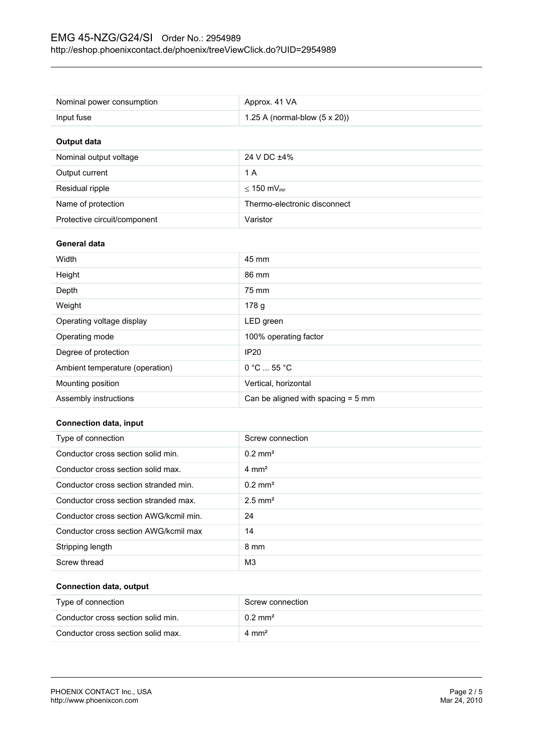| Nominal power consumption       | Approx. 41 VA                         |
|---------------------------------|---------------------------------------|
| Input fuse                      | 1.25 A (normal-blow $(5 \times 20)$ ) |
| <b>Output data</b>              |                                       |
| Nominal output voltage          | 24 V DC ±4%                           |
| Output current                  | 1 A                                   |
| Residual ripple                 | $\leq 150$ mV <sub>PP</sub>           |
| Name of protection              | Thermo-electronic disconnect          |
| Protective circuit/component    | Varistor                              |
| General data                    |                                       |
| Width                           | 45 mm                                 |
| Height                          | 86 mm                                 |
| Depth                           |                                       |
|                                 | 75 mm                                 |
| Weight                          | 178 g                                 |
| Operating voltage display       | LED green                             |
| Operating mode                  | 100% operating factor                 |
| Degree of protection            | <b>IP20</b>                           |
| Ambient temperature (operation) | 0 °C  55 °C                           |
| Mounting position               | Vertical, horizontal                  |

#### **Connection data, input**

| Type of connection                     | Screw connection      |
|----------------------------------------|-----------------------|
| Conductor cross section solid min.     | $0.2$ mm <sup>2</sup> |
| Conductor cross section solid max.     | $4 \text{ mm}^2$      |
| Conductor cross section stranded min.  | $0.2 \text{ mm}^2$    |
| Conductor cross section stranded max.  | $2.5$ mm <sup>2</sup> |
| Conductor cross section AWG/kcmil min. | 24                    |
| Conductor cross section AWG/kcmil max  | 14                    |
| Stripping length                       | 8 mm                  |
| Screw thread                           | M <sub>3</sub>        |

#### **Connection data, output**

| Type of connection                 | Screw connection   |
|------------------------------------|--------------------|
| Conductor cross section solid min. | $0.2 \text{ mm}^2$ |
| Conductor cross section solid max. | $4 \text{ mm}^2$   |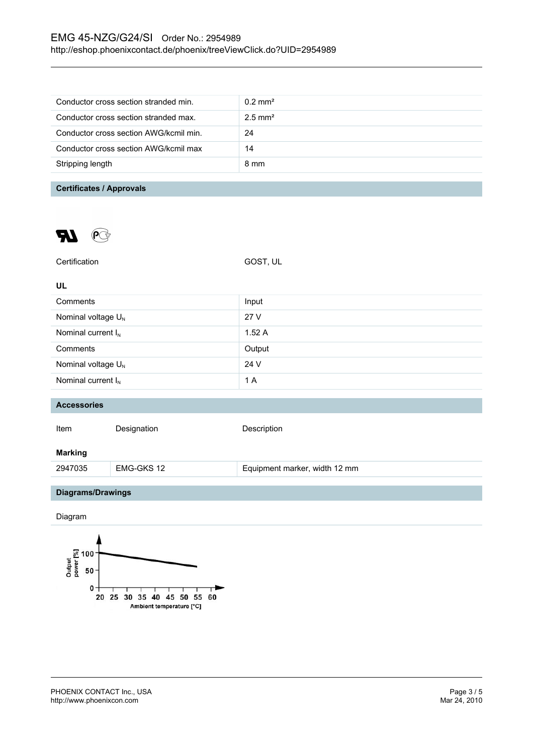## EMG 45-NZG/G24/SI Order No.: 2954989 http://eshop.phoenixcontact.de/phoenix/treeViewClick.do?UID=2954989

| Conductor cross section stranded min.  | $0.2$ mm <sup>2</sup> |
|----------------------------------------|-----------------------|
| Conductor cross section stranded max.  | $2.5$ mm <sup>2</sup> |
| Conductor cross section AWG/kcmil min. | 24                    |
| Conductor cross section AWG/kcmil max  | 14                    |
| Stripping length                       | 8 mm                  |
|                                        |                       |

## **Certificates / Approvals**



| Certification                  |             | GOST, UL                      |
|--------------------------------|-------------|-------------------------------|
| <b>UL</b>                      |             |                               |
| Comments                       |             | Input                         |
| Nominal voltage U <sub>N</sub> |             | 27 V                          |
| Nominal current $I_N$          |             | 1.52A                         |
| Comments                       |             | Output                        |
| Nominal voltage U <sub>N</sub> |             | 24 V                          |
| Nominal current $I_N$          |             | 1 A                           |
|                                |             |                               |
| <b>Accessories</b>             |             |                               |
| Item                           | Designation | Description                   |
| <b>Marking</b>                 |             |                               |
| 2947035                        | EMG-GKS 12  | Equipment marker, width 12 mm |
|                                |             |                               |
| Diagrams/Drawings              |             |                               |
| Diagram                        |             |                               |

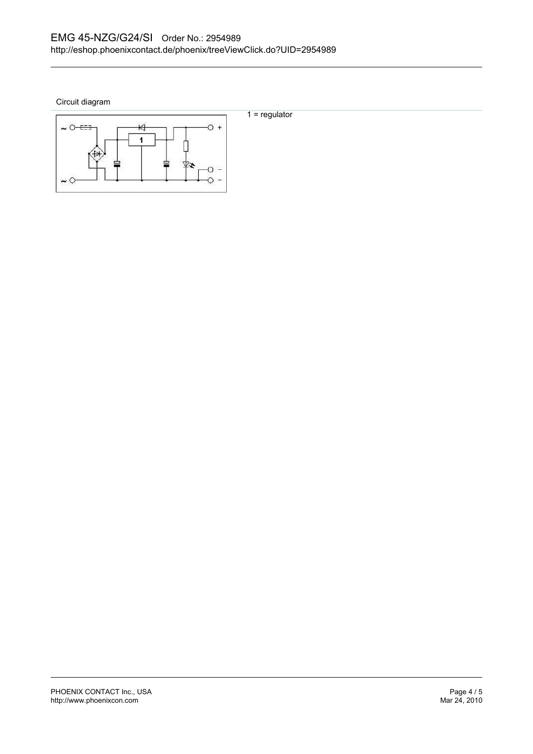Circuit diagram